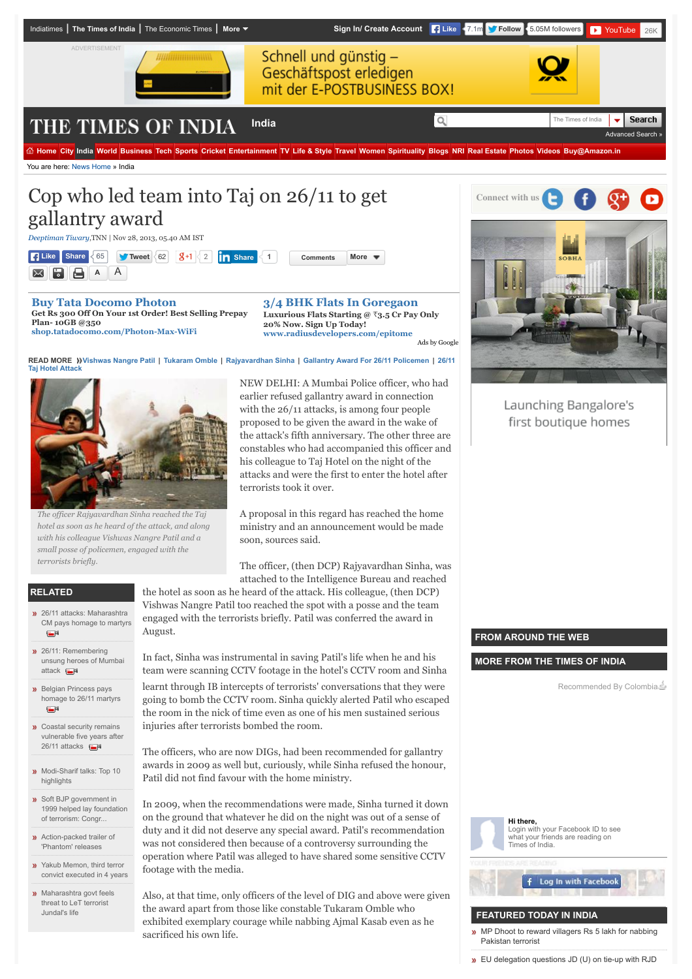

*The officer Rajyavardhan Sinha reached the Taj hotel as soon as he heard of the attack, and along with his colleague Vishwas Nangre Patil and a small posse of policemen, engaged with the terrorists briefly.*

A proposal in this regard has reached the home ministry and an announcement would be made soon, sources said.

The officer, (then DCP) Rajyavardhan Sinha, was attached to the Intelligence Bureau and reached the hotel as soon as he heard of the attack. His colleague, (then DCP)

#### **RELATED**

- 26/11 attacks: Maharashtra [CM pays homage to martyrs](http://timesofindia.indiatimes.com/videos/news/26/11-attacks-Maharashtra-CM-pays-homage-to-martyrs/videoshow/26396267.cms) **CON**
- <sup>26/11:</sup> Remembering [unsung heroes of Mumbai](http://timesofindia.indiatimes.com/videos/news/26/11-Remembering-unsung-heroes-of-Mumbai-attack/videoshow/26395782.cms) attack **E**
- **»** Belgian Princess pays [homage to 26/11 martyrs](http://timesofindia.indiatimes.com/videos/news/Belgian-Princess-pays-homage-to-26/11-martyrs/videoshow/26462474.cms) **CON**
- **»** Coastal security remains [vulnerable five years after](http://timesofindia.indiatimes.com/videos/news/Coastal-security-remains-vulnerable-five-years-after-26/11-attacks/videoshow/26394101.cms) 26/11 attacks **26/11**
- **[Modi-Sharif talks: Top 10](http://timesofindia.indiatimes.com/india/Modi-Sharif-talks-Top-10-highlights/articleshow/48015511.cms)** highlights
- Soft BJP government in [1999 helped lay foundation](http://timesofindia.indiatimes.com/india/Soft-BJP-government-in-1999-helped-lay-foundation-of-terrorism-Congress/articleshow/47927339.cms) of terrorism: Congr...
- **[Action-packed trailer of](http://timesofindia.indiatimes.com/entertainment/hindi/bollywood/news/Action-packed-trailer-of-Phantom-releases/articleshow/48222561.cms)** 'Phantom' releases
- **»** Yakub Memon, third terror [convict executed in 4 years](http://timesofindia.indiatimes.com/india/Yakub-Memon-third-terror-convict-executed-in-4-years/articleshow/48278266.cms)
- **»** [Maharashtra govt feels](http://timesofindia.indiatimes.com/india/Maharashtra-govt-feels-threat-to-LeT-terrorist-Jundals-life/articleshow/47996655.cms) threat to LeT terrorist Jundal's life

August. In fact, Sinha was instrumental in saving Patil's life when he and his

Vishwas Nangre Patil too reached the spot with a posse and the team engaged with the terrorists briefly. Patil was conferred the award in

terrorists took it over.

team were scanning CCTV footage in the hotel's CCTV room and Sinha

learnt through IB intercepts of terrorists' conversations that they were going to bomb the CCTV room. Sinha quickly alerted Patil who escaped the room in the nick of time even as one of his men sustained serious injuries after terrorists bombed the room.

The officers, who are now DIGs, had been recommended for gallantry awards in 2009 as well but, curiously, while Sinha refused the honour, Patil did not find favour with the home ministry.

In 2009, when the recommendations were made, Sinha turned it down on the ground that whatever he did on the night was out of a sense of duty and it did not deserve any special award. Patil's recommendation was not considered then because of a controversy surrounding the operation where Patil was alleged to have shared some sensitive CCTV footage with the media.

Also, at that time, only officers of the level of DIG and above were given the award apart from those like constable Tukaram Omble who exhibited exemplary courage while nabbing Ajmal Kasab even as he sacrificed his own life.

#### **FROM AROUND THE WEB**

#### **MORE FROM THE TIMES OF INDIA**

Recommended By Colombia



Login with your Facebook ID to see what your friends are reading on Times of India.

# f Log In with Facebook

### **FEATURED TODAY IN INDIA**

- [MP Dhoot to reward villagers Rs 5 lakh for nabbing](http://timesofindia.indiatimes.com/india/MP-Dhoot-to-reward-villagers-Rs-5-lakh-for-nabbing-Pakistan-terrorist/articleshow/48383479.cms) Pakistan terrorist
- **»** [EU delegation questions JD \(U\) on tie-up with RJD](http://timesofindia.indiatimes.com/india/EU-delegation-questions-JD-U-on-tie-up-with-RJD/articleshow/48382679.cms)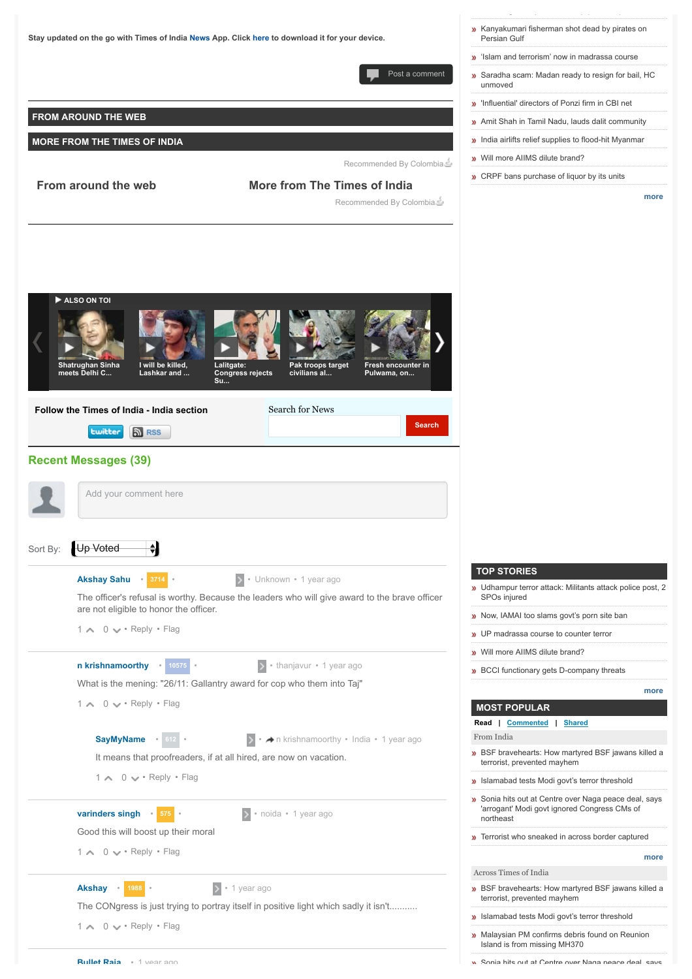

[Sonia hits out at Centre over Naga peace deal, says](http://timesofindia.indiatimes.com/india/Sonia-hits-out-at-Centre-over-Naga-peace-deal-says-arrogant-Modi-govt-ignored-Congress-CMs-of-northeast/articleshow/48370770.cms)

 $\mathbb{E}_{\mathbb{E}_{\mathbb{E}}\left\{ \mathbb{E}_{\mathbb{E}_{\mathbb{E}}\left\{ \mathbb{E}_{\mathbb{E}_{\mathbb{E}}\left\{ \mathbb{E}_{\mathbb{E}_{\mathbb{E}}\left\{ \mathbb{E}_{\mathbb{E}_{\mathbb{E}}\left\{ \mathbb{E}_{\mathbb{E}_{\mathbb{E}}\left\{ \mathbb{E}_{\mathbb{E}_{\mathbb{E}}\left\{ \mathbb{E}_{\mathbb{E}_{\mathbb{E}}\left\{ \mathbb{E}_{\mathbb{E}_{\mathbb{E}}\left\{ \mathbb{E}_{\mathbb{E}_{\mathbb{E}}\left\{$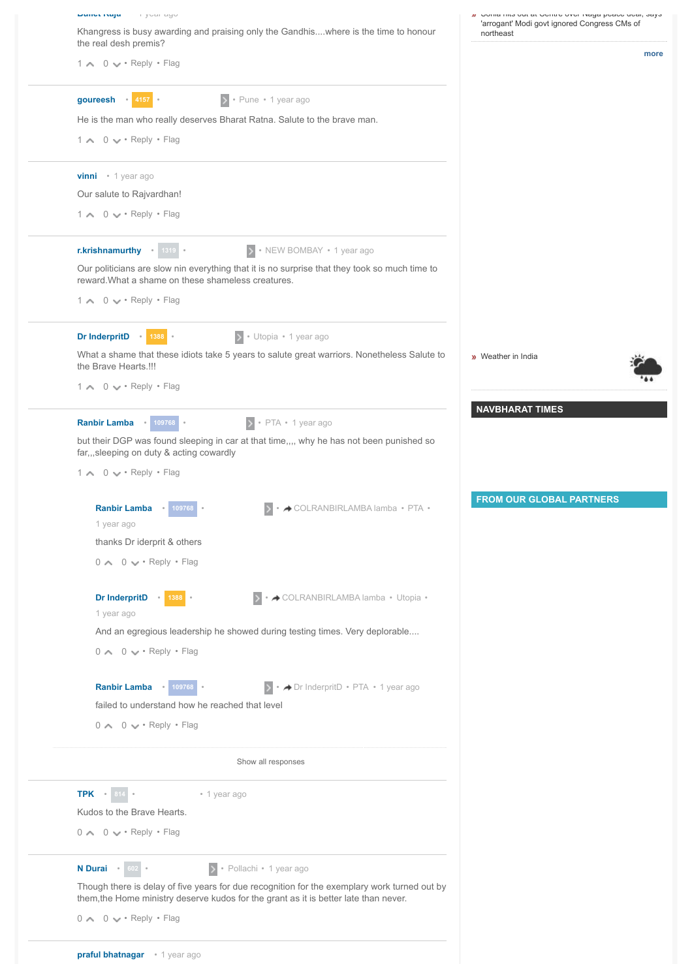| wundu waja mini yudi ayu                                                                                                                            | Onina rino out at octitic over traya peace ucar, says     |
|-----------------------------------------------------------------------------------------------------------------------------------------------------|-----------------------------------------------------------|
| Khangress is busy awarding and praising only the Gandhiswhere is the time to honour<br>the real desh premis?                                        | 'arrogant' Modi govt ignored Congress CMs of<br>northeast |
| 1 \ 0 \ + Reply + Flag                                                                                                                              | more                                                      |
| goureesh . 4157 .<br>> · Pune · 1 year ago                                                                                                          |                                                           |
| He is the man who really deserves Bharat Ratna. Salute to the brave man.                                                                            |                                                           |
| $1 \wedge 0 \vee \cdot$ Reply $\cdot$ Flag                                                                                                          |                                                           |
| <b>vinni</b> • 1 year ago                                                                                                                           |                                                           |
| Our salute to Rajvardhan!                                                                                                                           |                                                           |
| 1 \ 0 \ + Reply + Flag                                                                                                                              |                                                           |
| r.krishnamurthy . 1319 .<br>> NEW BOMBAY • 1 year ago                                                                                               |                                                           |
| Our politicians are slow nin everything that it is no surprise that they took so much time to<br>reward. What a shame on these shameless creatures. |                                                           |
| $1 \wedge 0 \vee \cdot$ Reply $\cdot$ Flag                                                                                                          |                                                           |
| Dr InderpritD 1388<br>> · Utopia · 1 year ago                                                                                                       |                                                           |
| What a shame that these idiots take 5 years to salute great warriors. Nonetheless Salute to<br>the Brave Hearts.!!!                                 | <b>w</b> Weather in India                                 |
| $1 \wedge 0 \vee \cdot$ Reply $\cdot$ Flag                                                                                                          |                                                           |
| Ranbir Lamba . 109768 .<br>$\rightarrow$ • PTA • 1 year ago                                                                                         | <b>NAVBHARAT TIMES</b>                                    |
| but their DGP was found sleeping in car at that time,,,, why he has not been punished so<br>far,,,sleeping on duty & acting cowardly                |                                                           |
| $1 \wedge 0 \vee \cdot$ Reply $\cdot$ Flag                                                                                                          |                                                           |
| → COLRANBIRLAMBA lamba • PTA •<br><b>Ranbir Lamba</b> •<br>109768<br>1 year ago                                                                     | <b>FROM OUR GLOBAL PARTNERS</b>                           |
| thanks Dr iderprit & others                                                                                                                         |                                                           |
| $0 \wedge 0 \vee \cdot$ Reply $\cdot$ Flag                                                                                                          |                                                           |
| Dr InderpritD . 1388 .<br>▶ • ◆ COLRANBIRLAMBA lamba • Utopia •<br>1 year ago                                                                       |                                                           |
| And an egregious leadership he showed during testing times. Very deplorable                                                                         |                                                           |
| $0 \wedge 0 \vee \cdot$ Reply $\cdot$ Flag                                                                                                          |                                                           |
| Ranbir Lamba . 109768<br>• > Dr InderpritD • PTA • 1 year ago<br>failed to understand how he reached that level                                     |                                                           |
| $0 \wedge 0 \vee \cdot$ Reply $\cdot$ Flag                                                                                                          |                                                           |
| Show all responses                                                                                                                                  |                                                           |
| <b>TPK</b> • 814 •<br>• 1 year ago                                                                                                                  |                                                           |
| Kudos to the Brave Hearts.                                                                                                                          |                                                           |
| $0 \wedge 0 \vee \cdot$ Reply $\cdot$ Flag                                                                                                          |                                                           |
| N Durai + 602 +<br>> · Pollachi · 1 year ago                                                                                                        |                                                           |
| Though there is delay of five years for due recognition for the exemplary work turned out by                                                        |                                                           |
| them, the Home ministry deserve kudos for the grant as it is better late than never.<br>$0 \wedge 0 \vee \cdot$ Reply $\cdot$ Flag                  |                                                           |
|                                                                                                                                                     |                                                           |
|                                                                                                                                                     |                                                           |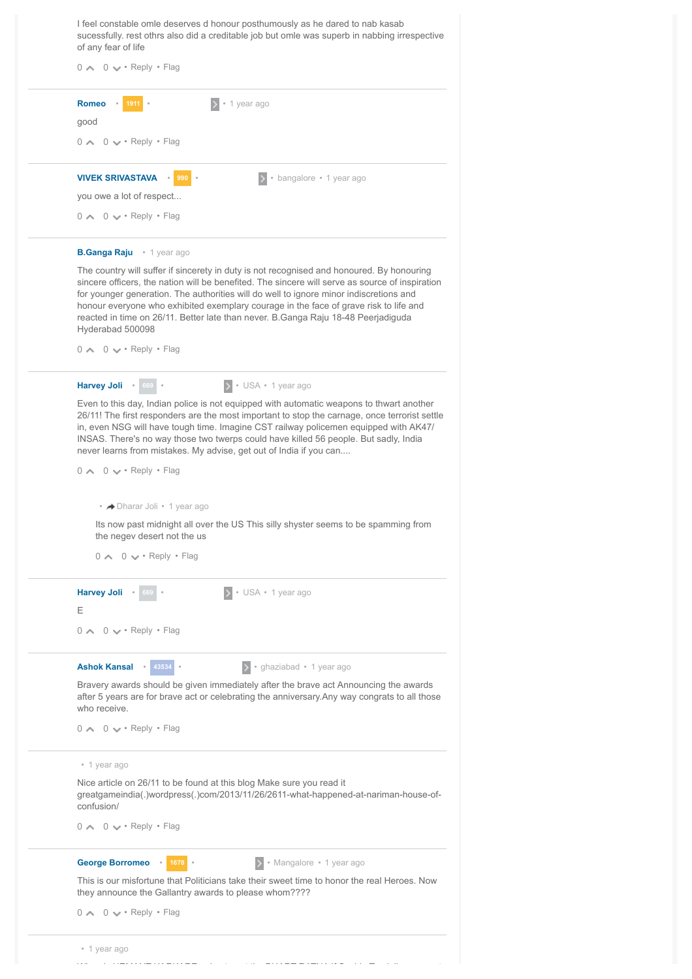| I feel constable omle deserves d honour posthumously as he dared to nab kasab<br>sucessfully. rest othrs also did a creditable job but omle was superb in nabbing irrespective<br>of any fear of life<br>$0 \wedge 0 \vee \cdot$ Reply $\cdot$ Flag                                                                                                                                                                                                                                                                                                                                                                                                                                                                                           |
|-----------------------------------------------------------------------------------------------------------------------------------------------------------------------------------------------------------------------------------------------------------------------------------------------------------------------------------------------------------------------------------------------------------------------------------------------------------------------------------------------------------------------------------------------------------------------------------------------------------------------------------------------------------------------------------------------------------------------------------------------|
| <b>Romeo</b><br>• 1 year ago<br>1911<br>good<br>$0 \wedge 0 \vee \cdot$ Reply $\cdot$ Flag                                                                                                                                                                                                                                                                                                                                                                                                                                                                                                                                                                                                                                                    |
| <b>VIVEK SRIVASTAVA</b><br>990<br>• bangalore • 1 year ago                                                                                                                                                                                                                                                                                                                                                                                                                                                                                                                                                                                                                                                                                    |
| you owe a lot of respect                                                                                                                                                                                                                                                                                                                                                                                                                                                                                                                                                                                                                                                                                                                      |
| $0 \wedge 0 \vee \cdot$ Reply $\cdot$ Flag                                                                                                                                                                                                                                                                                                                                                                                                                                                                                                                                                                                                                                                                                                    |
| <b>B.Ganga Raju</b> . 1 year ago                                                                                                                                                                                                                                                                                                                                                                                                                                                                                                                                                                                                                                                                                                              |
| The country will suffer if sincerety in duty is not recognised and honoured. By honouring<br>sincere officers, the nation will be benefited. The sincere will serve as source of inspiration<br>for younger generation. The authorities will do well to ignore minor indiscretions and<br>honour everyone who exhibited exemplary courage in the face of grave risk to life and<br>reacted in time on 26/11. Better late than never. B. Ganga Raju 18-48 Peerjadiguda<br>Hyderabad 500098                                                                                                                                                                                                                                                     |
| $0 \wedge 0 \vee \cdot$ Reply $\cdot$ Flaq                                                                                                                                                                                                                                                                                                                                                                                                                                                                                                                                                                                                                                                                                                    |
| Harvey Joli . 669 .<br>> USA · 1 year ago<br>Even to this day, Indian police is not equipped with automatic weapons to thwart another<br>26/11! The first responders are the most important to stop the carnage, once terrorist settle<br>in, even NSG will have tough time. Imagine CST railway policemen equipped with AK47/<br>INSAS. There's no way those two twerps could have killed 56 people. But sadly, India<br>never learns from mistakes. My advise, get out of India if you can<br>$0 \wedge 0 \vee \cdot$ Reply $\cdot$ Flag<br>• → Dharar Joli • 1 year ago<br>Its now past midnight all over the US This silly shyster seems to be spamming from<br>the negev desert not the us<br>$0 \wedge 0 \vee \cdot$ Reply $\cdot$ Flag |
| <b>Harvey Joli</b><br>• USA • 1 year ago<br>669<br>Ε<br>$0 \wedge 0 \vee \cdot$ Reply $\cdot$ Flag                                                                                                                                                                                                                                                                                                                                                                                                                                                                                                                                                                                                                                            |
|                                                                                                                                                                                                                                                                                                                                                                                                                                                                                                                                                                                                                                                                                                                                               |
| · ghaziabad · 1 year ago<br>Ashok Kansal . 43534 .<br>Bravery awards should be given immediately after the brave act Announcing the awards<br>after 5 years are for brave act or celebrating the anniversary. Any way congrats to all those<br>who receive.<br>$0 \wedge 0 \vee \cdot$ Reply $\cdot$ Flag                                                                                                                                                                                                                                                                                                                                                                                                                                     |
| • 1 year ago                                                                                                                                                                                                                                                                                                                                                                                                                                                                                                                                                                                                                                                                                                                                  |
| Nice article on 26/11 to be found at this blog Make sure you read it<br>greatgameindia(.)wordpress(.)com/2013/11/26/2611-what-happened-at-nariman-house-of-                                                                                                                                                                                                                                                                                                                                                                                                                                                                                                                                                                                   |

greatgameindia(.)wordpress(.)com/2013/11/26/2611-what-happened-at-nariman-house-ofconfusion/

 $0 \sim 0 \vee \cdot$  Reply  $\cdot$  Flag

**[George Borromeo](http://mytimes.indiatimes.com/profile/borromeogeorge)** Marka 1678

 $\rightarrow$  • Mangalore • 1 year ago

This is our misfortune that Politicians take their sweet time to honor the real Heroes. Now they announce the Gallantry awards to please whom????

 $0 \sim 0 \vee \cdot$  Reply  $\cdot$  Flag

| • 1 year ago |   |                 |                               |  |
|--------------|---|-----------------|-------------------------------|--|
| $- - - -$    | . | _ _ _ _ _ . _ . | $\overline{\phantom{a}}$<br>. |  |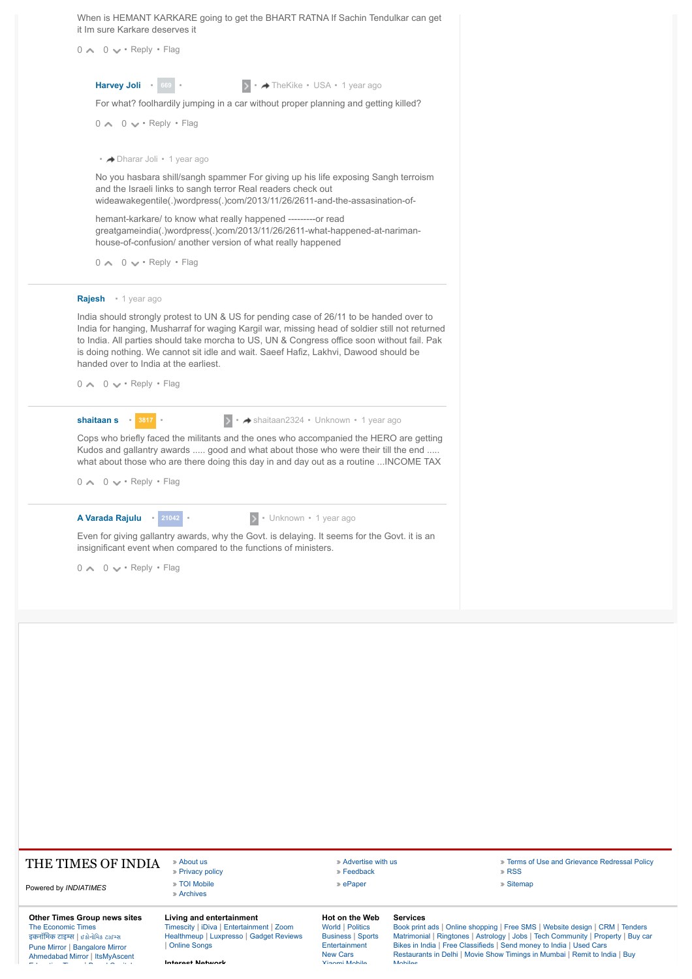| <b>Other Times Group news sites</b><br><b>The Economic Times</b><br>इकनॉमिक टाइम्स   छडोनोमिड टाइम्स<br>Pune Mirror   Bangalore Mirror | Living and entertainment<br>Timescity   iDiva   Entertainment   Zoom<br>Healthmeup   Luxpresso   Gadget Reviews<br><b>Online Songs</b>                                                                                                                                                                                                                                           | Hot on the Web<br><b>World   Politics</b><br><b>Business   Sports</b><br>Entertainment | <b>Services</b> | Book print ads   Online shopping   Free SM<br>Matrimonial   Ringtones   Astrology   Jobs  <br>Bikes in India   Free Classifieds   Send mon |
|----------------------------------------------------------------------------------------------------------------------------------------|----------------------------------------------------------------------------------------------------------------------------------------------------------------------------------------------------------------------------------------------------------------------------------------------------------------------------------------------------------------------------------|----------------------------------------------------------------------------------------|-----------------|--------------------------------------------------------------------------------------------------------------------------------------------|
| Powered by INDIATIMES                                                                                                                  | » Privacy policy<br>» TOI Mobile<br>» Archives                                                                                                                                                                                                                                                                                                                                   | » ePaper                                                                               |                 | » Sitemap                                                                                                                                  |
| THE TIMES OF INDIA                                                                                                                     | » About us                                                                                                                                                                                                                                                                                                                                                                       | » Advertise with us<br>» Feedback                                                      |                 | » Terms of<br>» RSS                                                                                                                        |
|                                                                                                                                        |                                                                                                                                                                                                                                                                                                                                                                                  |                                                                                        |                 |                                                                                                                                            |
| A Varada Rajulu . 21042<br>$0 \wedge 0 \vee \cdot$ Reply $\cdot$ Flag                                                                  | > • Unknown • 1 year ago<br>Even for giving gallantry awards, why the Govt. is delaying. It seems for the Govt. it is an<br>insignificant event when compared to the functions of ministers.                                                                                                                                                                                     |                                                                                        |                 |                                                                                                                                            |
| $0 \wedge 0 \vee \cdot$ Reply $\cdot$ Flag                                                                                             | Cops who briefly faced the militants and the ones who accompanied the HERO are getting<br>Kudos and gallantry awards  good and what about those who were their till the end<br>what about those who are there doing this day in and day out as a routine  INCOME TAX                                                                                                             |                                                                                        |                 |                                                                                                                                            |
| shaitaan s 3817                                                                                                                        | → + shaitaan2324 • Unknown • 1 year ago                                                                                                                                                                                                                                                                                                                                          |                                                                                        |                 |                                                                                                                                            |
| $0 \wedge 0 \vee \cdot$ Reply $\cdot$ Flag                                                                                             |                                                                                                                                                                                                                                                                                                                                                                                  |                                                                                        |                 |                                                                                                                                            |
| Rajesh • 1 year ago<br>handed over to India at the earliest.                                                                           | India should strongly protest to UN & US for pending case of 26/11 to be handed over to<br>India for hanging, Musharraf for waging Kargil war, missing head of soldier still not returned<br>to India. All parties should take morcha to US, UN & Congress office soon without fail. Pak<br>is doing nothing. We cannot sit idle and wait. Saeef Hafiz, Lakhvi, Dawood should be |                                                                                        |                 |                                                                                                                                            |
| $0 \wedge 0 \vee \cdot$ Reply $\cdot$ Flag                                                                                             |                                                                                                                                                                                                                                                                                                                                                                                  |                                                                                        |                 |                                                                                                                                            |
|                                                                                                                                        | hemant-karkare/ to know what really happened ----------or read<br>greatgameindia(.)wordpress(.)com/2013/11/26/2611-what-happened-at-nariman-<br>house-of-confusion/ another version of what really happened                                                                                                                                                                      |                                                                                        |                 |                                                                                                                                            |
| • → Dharar Joli • 1 year ago                                                                                                           | No you hasbara shill/sangh spammer For giving up his life exposing Sangh terroism<br>and the Israeli links to sangh terror Real readers check out<br>wideawakegentile(.)wordpress(.)com/2013/11/26/2611-and-the-assasination-of-                                                                                                                                                 |                                                                                        |                 |                                                                                                                                            |
| $0 \wedge 0 \vee \cdot$ Reply $\cdot$ Flag                                                                                             |                                                                                                                                                                                                                                                                                                                                                                                  |                                                                                        |                 |                                                                                                                                            |
|                                                                                                                                        | For what? foolhardily jumping in a car without proper planning and getting killed?                                                                                                                                                                                                                                                                                               |                                                                                        |                 |                                                                                                                                            |
| Harvey Joli 669 .                                                                                                                      |                                                                                                                                                                                                                                                                                                                                                                                  | ▶ • ★ TheKike • USA • 1 year ago                                                       |                 |                                                                                                                                            |
| $0 \wedge 0 \vee \cdot$ Reply $\cdot$ Flag                                                                                             |                                                                                                                                                                                                                                                                                                                                                                                  |                                                                                        |                 |                                                                                                                                            |
| it Im sure Karkare deserves it                                                                                                         | When is HEMANT KARKARE going to get the BHART RATNA If Sachin Tendulkar can get                                                                                                                                                                                                                                                                                                  |                                                                                        |                 |                                                                                                                                            |

**[About us](http://www.timesinternet.in/) and Advertise Contains and Crievance Redressal Policy** 

# The<br>इक [इकनॉिमक](http://hindi.economictimes.indiatimes.com/) टाइम **|** [ઈકોનોિમક](http://gujarati.economictimes.indiatimes.com/) ટાઈ)સ [Pune Mirror](http://www.punemirror.in/) | [Bangalore Mirror](http://www.bangaloremirror.com/)<br>[Ahmedabad Mirror](http://www.ahmedabadmirror.com/) | [ItsMyAscent](http://www.itsmyascent.com/)<br>-

**Interest Network**

[Entertainment](http://timesofindia.indiatimes.com/topic/home/entertainment) [New Cars](http://timesofindia.indiatimes.com/zigwheels.cms) [Xiaomi Mobile](http://timesofindia.indiatimes.com/techgadget/Xiaomi)

Services<br>[Book print ads](http://www.ads2book.com/) | [Online shopping](http://shopping.indiatimes.com/) | [Free SMS](http://mocolife.com/) | [Website design](http://www.webuild.indiatimes.com/) | [CRM](http://www.salescrm.indiatimes.com/) | [Tenders](http://tenders.indiatimes.com/)<br>[Matrimonial](http://www.simplymarry.com/) | [Ringtones](http://mobile.indiatimes.com/pmswapdev_in/pmsdata.html?target=tilweb/til/ringtoneindex.html&top=1&SM_PAGENUM=1&s=0&cn=&sec=ring&cat=browseall) | [Astrology](http://www.astrospeak.com/) | [Jobs](http://www.timesjobs.com/) | [Tech Community](http://www.techgig.com/) | [Property](http://www.magicbricks.com/) | [Buy car](http://www.zigwheels.com/)<br>[Bikes in India](http://www.zigwheels.com/bikes) | [Free Classifieds](http://www.yolist.com/) | [Send money to India](http://timesofindia.indiatimes.com/business/india-business/Send-Money-to-India-the-safe-convenient-inexpensive-way/articleshow/11079712.cms)